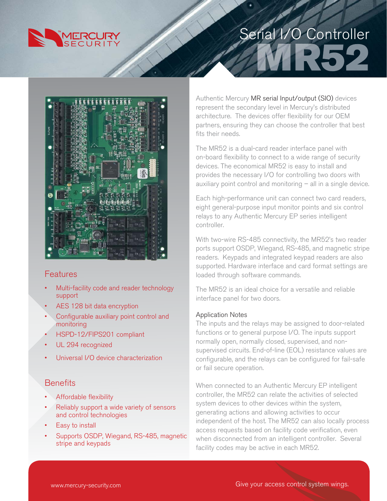

# Serial I/O Controller



#### Features

- Multi-facility code and reader technology support
- AES 128 bit data encryption
- Configurable auxiliary point control and monitoring
- HSPD-12/FIPS201 compliant
- UL 294 recognized
- Universal I/O device characterization

### **Benefits**

- Affordable flexibility
- Reliably support a wide variety of sensors and control technologies
- Easy to install
- Supports OSDP, Wiegand, RS-485, magnetic stripe and keypads

Authentic Mercury MR serial Input/output (SIO) devices represent the secondary level in Mercury's distributed architecture. The devices offer flexibility for our OEM partners, ensuring they can choose the controller that best fits their needs.

The MR52 is a dual-card reader interface panel with on-board flexibility to connect to a wide range of security devices. The economical MR52 is easy to install and provides the necessary I/O for controlling two doors with auxiliary point control and monitoring  $-$  all in a single device.

Each high-performance unit can connect two card readers, eight general-purpose input monitor points and six control relays to any Authentic Mercury EP series intelligent controller.

With two-wire RS-485 connectivity, the MR52's two reader ports support OSDP, Wiegand, RS-485, and magnetic stripe readers. Keypads and integrated keypad readers are also supported. Hardware interface and card format settings are loaded through software commands.

The MR52 is an ideal choice for a versatile and reliable interface panel for two doors.

#### Application Notes

The inputs and the relays may be assigned to door-related functions or to general purpose I/O. The inputs support normally open, normally closed, supervised, and nonsupervised circuits. End-of-line (EOL) resistance values are configurable, and the relays can be configured for fail-safe or fail secure operation.

When connected to an Authentic Mercury EP intelligent controller, the MR52 can relate the activities of selected system devices to other devices within the system, generating actions and allowing activities to occur independent of the host. The MR52 can also locally process access requests based on facility code verification, even when disconnected from an intelligent controller. Several facility codes may be active in each MR52.